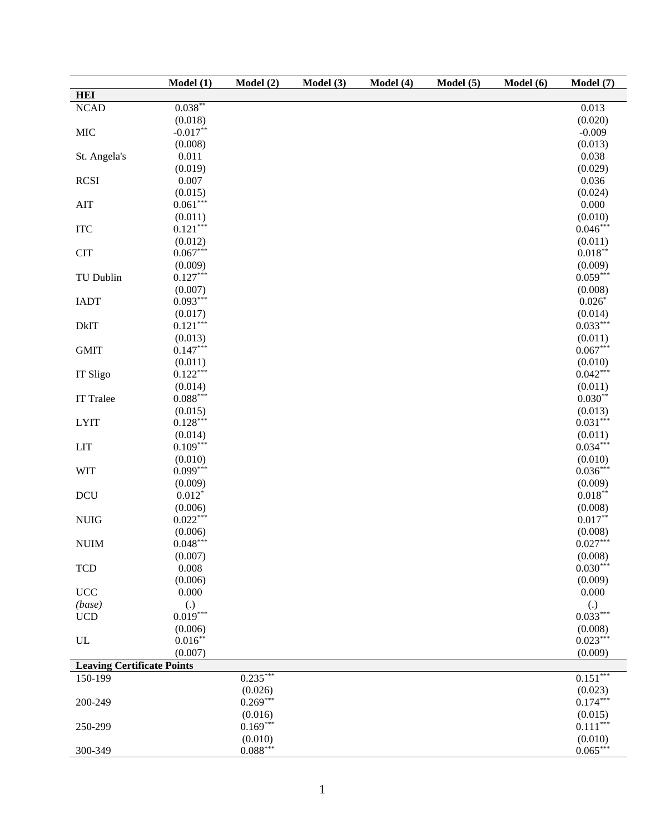|                                   | Model $\overline{(1)}$ | Model (2)  | Model (3) | Model (4) | Model (5) | Model (6) | Model (7)             |
|-----------------------------------|------------------------|------------|-----------|-----------|-----------|-----------|-----------------------|
| <b>HEI</b>                        |                        |            |           |           |           |           |                       |
| <b>NCAD</b>                       | $0.038**$              |            |           |           |           |           | 0.013                 |
|                                   | (0.018)                |            |           |           |           |           | (0.020)               |
| <b>MIC</b>                        | $-0.017**$             |            |           |           |           |           | $-0.009$              |
|                                   | (0.008)                |            |           |           |           |           | (0.013)               |
| St. Angela's                      | 0.011                  |            |           |           |           |           | 0.038                 |
|                                   | (0.019)                |            |           |           |           |           | (0.029)               |
| <b>RCSI</b>                       | 0.007                  |            |           |           |           |           | 0.036                 |
|                                   | (0.015)                |            |           |           |           |           | (0.024)               |
| AIT                               | $0.061***$             |            |           |           |           |           | 0.000                 |
|                                   | (0.011)                |            |           |           |           |           | (0.010)               |
| <b>ITC</b>                        | $0.121***$             |            |           |           |           |           | $0.046***$            |
|                                   | (0.012)                |            |           |           |           |           | (0.011)               |
| <b>CIT</b>                        | $0.067***$             |            |           |           |           |           | $0.018***$            |
|                                   | (0.009)                |            |           |           |           |           | (0.009)               |
| TU Dublin                         | $0.127***$             |            |           |           |           |           | $0.059***$            |
|                                   | (0.007)                |            |           |           |           |           | (0.008)               |
| <b>IADT</b>                       | $0.093***$             |            |           |           |           |           | $0.026*$              |
|                                   | (0.017)                |            |           |           |           |           | (0.014)               |
| <b>DkIT</b>                       | $0.121***$             |            |           |           |           |           | $0.033***$            |
|                                   | (0.013)                |            |           |           |           |           | (0.011)               |
| <b>GMIT</b>                       | $0.147***$             |            |           |           |           |           | $0.067***$            |
|                                   | (0.011)                |            |           |           |           |           | (0.010)               |
|                                   | $0.122***$             |            |           |           |           |           | $0.042***$            |
| IT Sligo                          | (0.014)                |            |           |           |           |           | (0.011)               |
| <b>IT Tralee</b>                  | $0.088***$             |            |           |           |           |           | $0.030**$             |
|                                   |                        |            |           |           |           |           |                       |
|                                   | (0.015)<br>$0.128***$  |            |           |           |           |           | (0.013)<br>$0.031***$ |
| <b>LYIT</b>                       |                        |            |           |           |           |           |                       |
|                                   | (0.014)<br>$0.109***$  |            |           |           |           |           | (0.011)<br>$0.034***$ |
| LIT                               |                        |            |           |           |           |           |                       |
|                                   | (0.010)<br>$0.099***$  |            |           |           |           |           | (0.010)<br>$0.036***$ |
| <b>WIT</b>                        |                        |            |           |           |           |           |                       |
|                                   | (0.009)                |            |           |           |           |           | (0.009)               |
| <b>DCU</b>                        | $0.012*$               |            |           |           |           |           | $0.018***$            |
|                                   | (0.006)                |            |           |           |           |           | (0.008)               |
| <b>NUIG</b>                       | $0.022***$             |            |           |           |           |           | $0.017**$             |
|                                   | (0.006)                |            |           |           |           |           | (0.008)               |
| <b>NUIM</b>                       | $0.048***$             |            |           |           |           |           | $0.027***$            |
|                                   | (0.007)                |            |           |           |           |           | (0.008)               |
| <b>TCD</b>                        | 0.008                  |            |           |           |           |           | $0.030***$            |
|                                   | (0.006)                |            |           |           |           |           | (0.009)               |
| $\ensuremath{\mathsf{UCC}}$       | 0.000                  |            |           |           |           |           | 0.000                 |
| (base)                            | $\left( .\right)$      |            |           |           |           |           | (.)                   |
| $UCD$                             | $0.019***$             |            |           |           |           |           | $0.033***$            |
|                                   | (0.006)                |            |           |           |           |           | (0.008)               |
| UL                                | $0.016***$             |            |           |           |           |           | $0.023***$            |
|                                   | (0.007)                |            |           |           |           |           | (0.009)               |
| <b>Leaving Certificate Points</b> |                        |            |           |           |           |           |                       |
| $150 - 199$                       |                        | $0.235***$ |           |           |           |           | $0.151***$            |
|                                   |                        | (0.026)    |           |           |           |           | (0.023)               |
| 200-249                           |                        | $0.269***$ |           |           |           |           | $0.174***$            |
|                                   |                        | (0.016)    |           |           |           |           | (0.015)               |
| 250-299                           |                        | $0.169***$ |           |           |           |           | $0.111***$            |
|                                   |                        | (0.010)    |           |           |           |           | (0.010)               |
| 300-349                           |                        | $0.088***$ |           |           |           |           | $0.065***$            |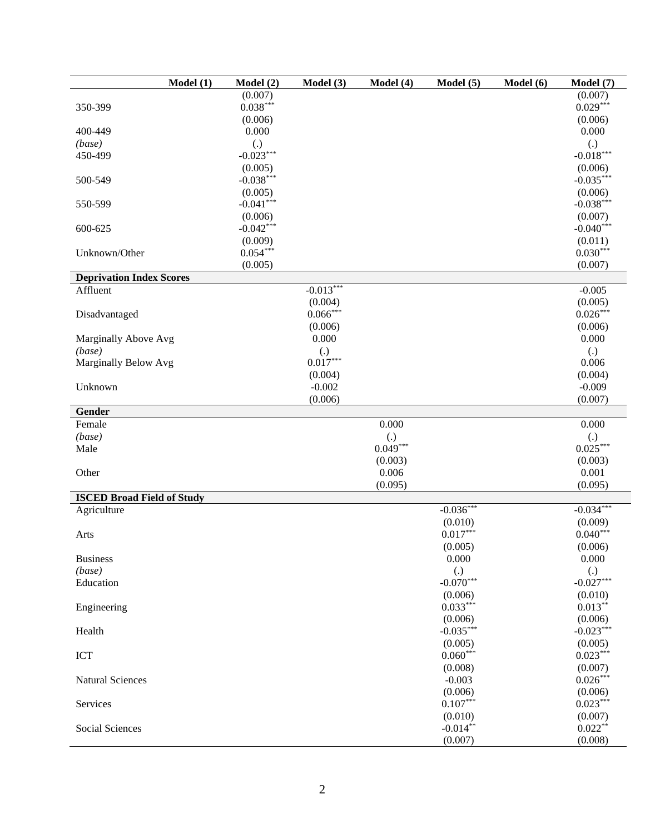| Model(1)                          | Model(2)          | Model (3)             | Model (4)         | Model(5)               | Model (6) | Model (7)              |
|-----------------------------------|-------------------|-----------------------|-------------------|------------------------|-----------|------------------------|
|                                   | (0.007)           |                       |                   |                        |           | (0.007)                |
| 350-399                           | $0.038***$        |                       |                   |                        |           | $0.029***$             |
|                                   | (0.006)           |                       |                   |                        |           | (0.006)                |
| 400-449                           | 0.000             |                       |                   |                        |           | 0.000                  |
| (base)                            | $\left( .\right)$ |                       |                   |                        |           | $\left( .\right)$      |
| 450-499                           | $-0.023***$       |                       |                   |                        |           | $-0.018***$            |
|                                   | (0.005)           |                       |                   |                        |           | (0.006)                |
| 500-549                           | $-0.038***$       |                       |                   |                        |           | $-0.035***$            |
|                                   | (0.005)           |                       |                   |                        |           | (0.006)                |
| 550-599                           | $-0.041***$       |                       |                   |                        |           | $-0.038***$            |
|                                   | (0.006)           |                       |                   |                        |           | (0.007)                |
| 600-625                           | $-0.042***$       |                       |                   |                        |           | $-0.040***$            |
|                                   | (0.009)           |                       |                   |                        |           | (0.011)                |
| Unknown/Other                     | $0.054***$        |                       |                   |                        |           | $0.030***$             |
|                                   | (0.005)           |                       |                   |                        |           | (0.007)                |
| <b>Deprivation Index Scores</b>   |                   |                       |                   |                        |           |                        |
| Affluent                          |                   | $-0.013***$           |                   |                        |           | $-0.005$               |
|                                   |                   | (0.004)<br>$0.066***$ |                   |                        |           | (0.005)<br>$0.026***$  |
| Disadvantaged                     |                   |                       |                   |                        |           |                        |
| Marginally Above Avg              |                   | (0.006)<br>0.000      |                   |                        |           | (0.006)<br>0.000       |
| (base)                            |                   | $\left( .\right)$     |                   |                        |           | (.)                    |
| Marginally Below Avg              |                   | $0.017***$            |                   |                        |           | 0.006                  |
|                                   |                   | (0.004)               |                   |                        |           | (0.004)                |
| Unknown                           |                   | $-0.002$              |                   |                        |           | $-0.009$               |
|                                   |                   | (0.006)               |                   |                        |           | (0.007)                |
| Gender                            |                   |                       |                   |                        |           |                        |
| Female                            |                   |                       | 0.000             |                        |           | 0.000                  |
| (base)                            |                   |                       | $\left( .\right)$ |                        |           | $\left( .\right)$      |
| Male                              |                   |                       | $0.049***$        |                        |           | $0.025***$             |
|                                   |                   |                       | (0.003)           |                        |           | (0.003)                |
| Other                             |                   |                       | 0.006             |                        |           | 0.001                  |
|                                   |                   |                       | (0.095)           |                        |           | (0.095)                |
| <b>ISCED Broad Field of Study</b> |                   |                       |                   |                        |           |                        |
| Agriculture                       |                   |                       |                   | $-0.036***$            |           | $-0.034***$            |
|                                   |                   |                       |                   | (0.010)                |           | (0.009)                |
| Arts                              |                   |                       |                   | $0.017***$             |           | $0.040***$             |
|                                   |                   |                       |                   | (0.005)                |           | (0.006)                |
| <b>Business</b>                   |                   |                       |                   | 0.000                  |           | 0.000                  |
| (base)                            |                   |                       |                   | (.)                    |           | (.)                    |
| Education                         |                   |                       |                   | $-0.070***$            |           | $-0.027***$            |
|                                   |                   |                       |                   | (0.006)<br>$0.033***$  |           | (0.010)<br>$0.013***$  |
| Engineering                       |                   |                       |                   |                        |           |                        |
| Health                            |                   |                       |                   | (0.006)<br>$-0.035***$ |           | (0.006)<br>$-0.023***$ |
|                                   |                   |                       |                   | (0.005)                |           | (0.005)                |
| <b>ICT</b>                        |                   |                       |                   | $0.060***$             |           | $0.023***$             |
|                                   |                   |                       |                   | (0.008)                |           | (0.007)                |
| <b>Natural Sciences</b>           |                   |                       |                   | $-0.003$               |           | $0.026***$             |
|                                   |                   |                       |                   | (0.006)                |           | (0.006)                |
| Services                          |                   |                       |                   | $0.107***$             |           | $0.023***$             |
|                                   |                   |                       |                   | (0.010)                |           | (0.007)                |
| Social Sciences                   |                   |                       |                   | $-0.014**$             |           | $0.022**$              |
|                                   |                   |                       |                   | (0.007)                |           | (0.008)                |